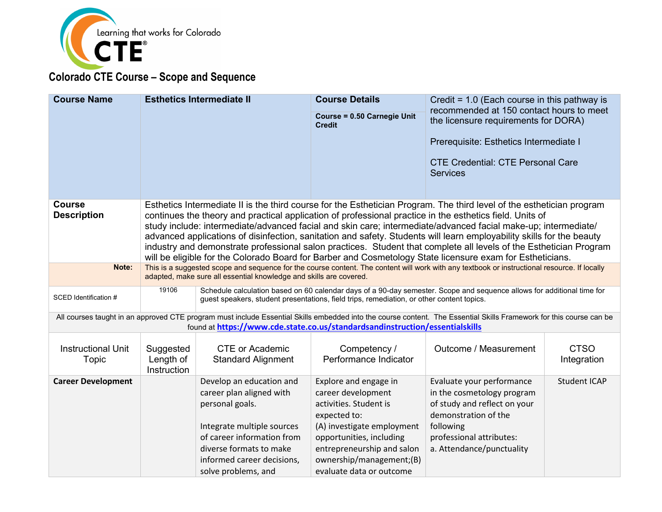

| <b>Course Name</b>        |                    | <b>Esthetics Intermediate II</b>                                                                                                                                                                                   | <b>Course Details</b>                                                                     | Credit = $1.0$ (Each course in this pathway is<br>recommended at 150 contact hours to meet                                                                                                                                 |                     |  |
|---------------------------|--------------------|--------------------------------------------------------------------------------------------------------------------------------------------------------------------------------------------------------------------|-------------------------------------------------------------------------------------------|----------------------------------------------------------------------------------------------------------------------------------------------------------------------------------------------------------------------------|---------------------|--|
|                           |                    |                                                                                                                                                                                                                    | Course = 0.50 Carnegie Unit<br><b>Credit</b>                                              | the licensure requirements for DORA)                                                                                                                                                                                       |                     |  |
|                           |                    |                                                                                                                                                                                                                    |                                                                                           | Prerequisite: Esthetics Intermediate I                                                                                                                                                                                     |                     |  |
|                           |                    |                                                                                                                                                                                                                    |                                                                                           |                                                                                                                                                                                                                            |                     |  |
|                           |                    |                                                                                                                                                                                                                    |                                                                                           | <b>CTE Credential: CTE Personal Care</b>                                                                                                                                                                                   |                     |  |
|                           |                    |                                                                                                                                                                                                                    |                                                                                           | <b>Services</b>                                                                                                                                                                                                            |                     |  |
|                           |                    |                                                                                                                                                                                                                    |                                                                                           |                                                                                                                                                                                                                            |                     |  |
| <b>Course</b>             |                    |                                                                                                                                                                                                                    |                                                                                           | Esthetics Intermediate II is the third course for the Esthetician Program. The third level of the esthetician program                                                                                                      |                     |  |
| <b>Description</b>        |                    |                                                                                                                                                                                                                    |                                                                                           | continues the theory and practical application of professional practice in the esthetics field. Units of<br>study include: intermediate/advanced facial and skin care; intermediate/advanced facial make-up; intermediate/ |                     |  |
|                           |                    |                                                                                                                                                                                                                    |                                                                                           | advanced applications of disinfection, sanitation and safety. Students will learn employability skills for the beauty                                                                                                      |                     |  |
|                           |                    |                                                                                                                                                                                                                    |                                                                                           | industry and demonstrate professional salon practices. Student that complete all levels of the Esthetician Program                                                                                                         |                     |  |
|                           |                    |                                                                                                                                                                                                                    |                                                                                           | will be eligible for the Colorado Board for Barber and Cosmetology State licensure exam for Estheticians.                                                                                                                  |                     |  |
| Note:                     |                    | This is a suggested scope and sequence for the course content. The content will work with any textbook or instructional resource. If locally<br>adapted, make sure all essential knowledge and skills are covered. |                                                                                           |                                                                                                                                                                                                                            |                     |  |
|                           | 19106              |                                                                                                                                                                                                                    |                                                                                           | Schedule calculation based on 60 calendar days of a 90-day semester. Scope and sequence allows for additional time for                                                                                                     |                     |  |
| SCED Identification #     |                    |                                                                                                                                                                                                                    | guest speakers, student presentations, field trips, remediation, or other content topics. |                                                                                                                                                                                                                            |                     |  |
|                           |                    |                                                                                                                                                                                                                    |                                                                                           | All courses taught in an approved CTE program must include Essential Skills embedded into the course content. The Essential Skills Framework for this course can be                                                        |                     |  |
|                           |                    | found at https://www.cde.state.co.us/standardsandinstruction/essentialskills                                                                                                                                       |                                                                                           |                                                                                                                                                                                                                            |                     |  |
| <b>Instructional Unit</b> | Suggested          | <b>CTE or Academic</b>                                                                                                                                                                                             | Competency /                                                                              | Outcome / Measurement                                                                                                                                                                                                      | <b>CTSO</b>         |  |
| Topic                     | Length of          | <b>Standard Alignment</b>                                                                                                                                                                                          | Performance Indicator                                                                     |                                                                                                                                                                                                                            | Integration         |  |
|                           | <b>Instruction</b> |                                                                                                                                                                                                                    |                                                                                           |                                                                                                                                                                                                                            |                     |  |
| <b>Career Development</b> |                    | Develop an education and                                                                                                                                                                                           | Explore and engage in                                                                     | Evaluate your performance                                                                                                                                                                                                  | <b>Student ICAP</b> |  |
|                           |                    | career plan aligned with                                                                                                                                                                                           | career development                                                                        | in the cosmetology program                                                                                                                                                                                                 |                     |  |
|                           |                    | personal goals.                                                                                                                                                                                                    | activities. Student is                                                                    | of study and reflect on your                                                                                                                                                                                               |                     |  |
|                           |                    |                                                                                                                                                                                                                    | expected to:                                                                              | demonstration of the                                                                                                                                                                                                       |                     |  |
|                           |                    | Integrate multiple sources                                                                                                                                                                                         | (A) investigate employment                                                                | following                                                                                                                                                                                                                  |                     |  |
|                           |                    | of career information from                                                                                                                                                                                         | opportunities, including                                                                  | professional attributes:                                                                                                                                                                                                   |                     |  |
|                           |                    | diverse formats to make                                                                                                                                                                                            | entrepreneurship and salon                                                                | a. Attendance/punctuality                                                                                                                                                                                                  |                     |  |
|                           |                    | informed career decisions,                                                                                                                                                                                         | ownership/management;(B)                                                                  |                                                                                                                                                                                                                            |                     |  |
|                           |                    | solve problems, and                                                                                                                                                                                                | evaluate data or outcome                                                                  |                                                                                                                                                                                                                            |                     |  |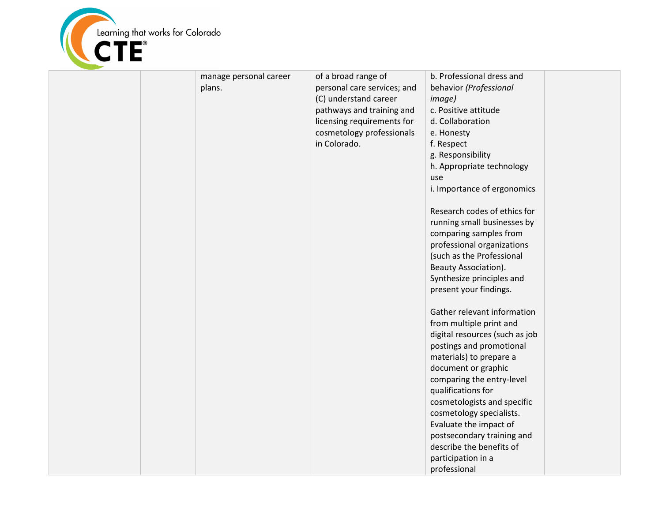

|  | manage personal career | of a broad range of         | b. Professional dress and      |  |
|--|------------------------|-----------------------------|--------------------------------|--|
|  | plans.                 | personal care services; and | behavior (Professional         |  |
|  |                        | (C) understand career       | <i>image</i> )                 |  |
|  |                        | pathways and training and   | c. Positive attitude           |  |
|  |                        | licensing requirements for  | d. Collaboration               |  |
|  |                        | cosmetology professionals   | e. Honesty                     |  |
|  |                        | in Colorado.                | f. Respect                     |  |
|  |                        |                             | g. Responsibility              |  |
|  |                        |                             | h. Appropriate technology      |  |
|  |                        |                             | use                            |  |
|  |                        |                             | i. Importance of ergonomics    |  |
|  |                        |                             |                                |  |
|  |                        |                             | Research codes of ethics for   |  |
|  |                        |                             | running small businesses by    |  |
|  |                        |                             | comparing samples from         |  |
|  |                        |                             | professional organizations     |  |
|  |                        |                             | (such as the Professional      |  |
|  |                        |                             | Beauty Association).           |  |
|  |                        |                             |                                |  |
|  |                        |                             | Synthesize principles and      |  |
|  |                        |                             | present your findings.         |  |
|  |                        |                             | Gather relevant information    |  |
|  |                        |                             | from multiple print and        |  |
|  |                        |                             | digital resources (such as job |  |
|  |                        |                             | postings and promotional       |  |
|  |                        |                             | materials) to prepare a        |  |
|  |                        |                             | document or graphic            |  |
|  |                        |                             | comparing the entry-level      |  |
|  |                        |                             | qualifications for             |  |
|  |                        |                             | cosmetologists and specific    |  |
|  |                        |                             | cosmetology specialists.       |  |
|  |                        |                             | Evaluate the impact of         |  |
|  |                        |                             | postsecondary training and     |  |
|  |                        |                             | describe the benefits of       |  |
|  |                        |                             |                                |  |
|  |                        |                             | participation in a             |  |
|  |                        |                             | professional                   |  |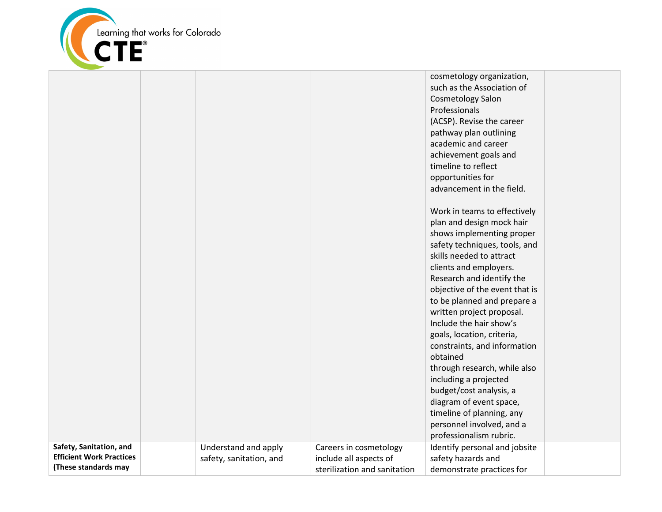

|                                                            |                                                 |                                                  | cosmetology organization,<br>such as the Association of<br><b>Cosmetology Salon</b><br>Professionals<br>(ACSP). Revise the career<br>pathway plan outlining<br>academic and career<br>achievement goals and<br>timeline to reflect<br>opportunities for<br>advancement in the field.<br>Work in teams to effectively<br>plan and design mock hair<br>shows implementing proper<br>safety techniques, tools, and<br>skills needed to attract<br>clients and employers.<br>Research and identify the<br>objective of the event that is<br>to be planned and prepare a<br>written project proposal.<br>Include the hair show's<br>goals, location, criteria,<br>constraints, and information<br>obtained<br>through research, while also<br>including a projected<br>budget/cost analysis, a<br>diagram of event space, |  |
|------------------------------------------------------------|-------------------------------------------------|--------------------------------------------------|----------------------------------------------------------------------------------------------------------------------------------------------------------------------------------------------------------------------------------------------------------------------------------------------------------------------------------------------------------------------------------------------------------------------------------------------------------------------------------------------------------------------------------------------------------------------------------------------------------------------------------------------------------------------------------------------------------------------------------------------------------------------------------------------------------------------|--|
| Safety, Sanitation, and<br><b>Efficient Work Practices</b> | Understand and apply<br>safety, sanitation, and | Careers in cosmetology<br>include all aspects of | timeline of planning, any<br>personnel involved, and a<br>professionalism rubric.<br>Identify personal and jobsite<br>safety hazards and                                                                                                                                                                                                                                                                                                                                                                                                                                                                                                                                                                                                                                                                             |  |
| (These standards may                                       |                                                 | sterilization and sanitation                     | demonstrate practices for                                                                                                                                                                                                                                                                                                                                                                                                                                                                                                                                                                                                                                                                                                                                                                                            |  |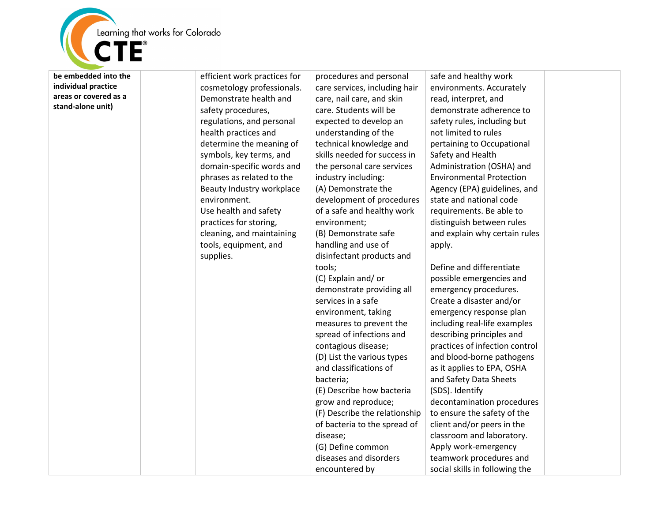

**be embedded into the individual practice areas or covered as a stand-alone unit)**

efficient work practices for cosmetology professionals. Demonstrate health and safety procedures, regulations, and personal health practices and determine the meaning of symbols, key terms, and domain-specific words and phrases as related to the Beauty Industry workplace environment. Use health and safety practices for storing, cleaning, and maintaining tools, equipment, and supplies. procedures and personal tools; bacteria;

care services, including hair care, nail care, and skin care. Students will be expected to develop an understanding of the technical knowledge and skills needed for success in the personal care services industry including: (A) Demonstrate the development of procedures of a safe and healthy work environment; (B) Demonstrate safe handling and use of disinfectant products and (C) Explain and/ or demonstrate providing all services in a safe environment, taking measures to prevent the spread of infections and contagious disease; (D) List the various types and classifications of (E) Describe how bacteria grow and reproduce; (F) Describe the relationship of bacteria to the spread of disease; (G) Define common diseases and disorders encountered by

safe and healthy work environments. Accurately read, interpret, and demonstrate adherence to safety rules, including but not limited to rules pertaining to Occupational Safety and Health Administration (OSHA) and Environmental Protection Agency (EPA) guidelines, and state and national code requirements. Be able to distinguish between rules and explain why certain rules apply.

Define and differentiate possible emergencies and emergency procedures. Create a disaster and/or emergency response plan including real-life examples describing principles and practices of infection control and blood-borne pathogens as it applies to EPA, OSHA and Safety Data Sheets (SDS). Identify decontamination procedures to ensure the safety of the client and/or peers in the classroom and laboratory. Apply work-emergency teamwork procedures and social skills in following the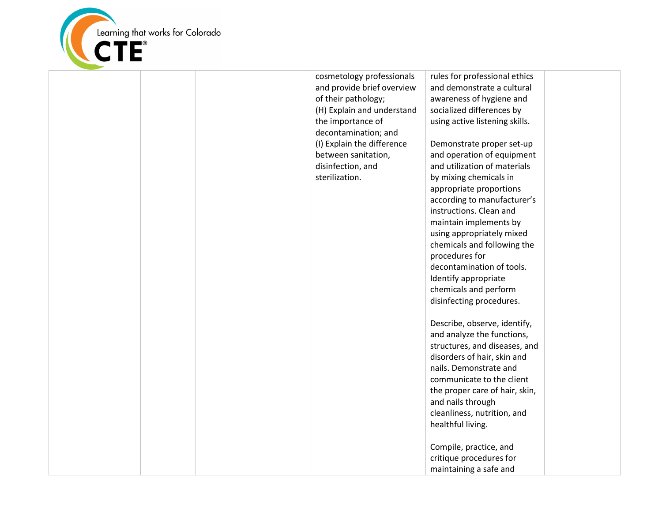

cosmetology professionals and provide brief overview of their pathology; (H) Explain and understand the importance of decontamination; and (I) Explain the difference between sanitation, disinfection, and sterilization.

rules for professional ethics and demonstrate a cultural awareness of hygiene and socialized differences by using active listening skills.

Demonstrate proper set-up and operation of equipment and utilization of materials by mixing chemicals in appropriate proportions according to manufacturer's instructions. Clean and maintain implements by using appropriately mixed chemicals and following the procedures for decontamination of tools. Identify appropriate chemicals and perform disinfecting procedures.

Describe, observe, identify, and analyze the functions, structures, and diseases, and disorders of hair, skin and nails. Demonstrate and communicate to the client the proper care of hair, skin, and nails through cleanliness, nutrition, and healthful living.

Compile, practice, and critique procedures for maintaining a safe and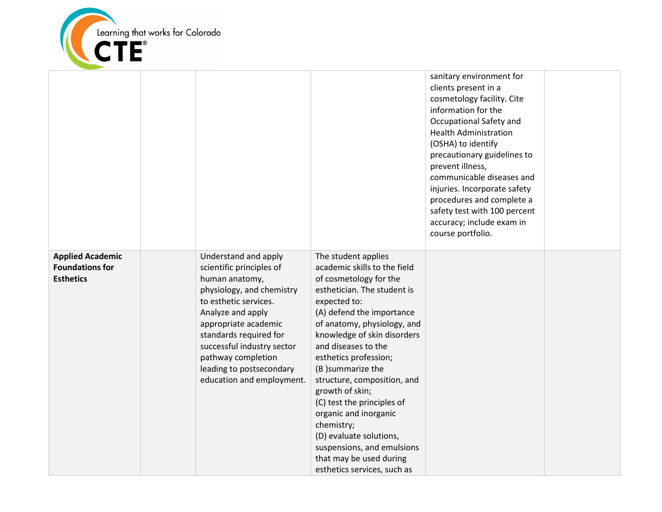

|                                                                       |                                                                                                                                                                                                                                                                                                              |                                                                                                                                                                                                                                                                                                                                                                                                                                                                                                                                        | sanitary environment for<br>clients present in a<br>cosmetology facility. Cite<br>information for the<br>Occupational Safety and<br><b>Health Administration</b><br>(OSHA) to identify<br>precautionary guidelines to<br>prevent illness,<br>communicable diseases and<br>injuries. Incorporate safety<br>procedures and complete a<br>safety test with 100 percent<br>accuracy; include exam in<br>course portfolio. |  |
|-----------------------------------------------------------------------|--------------------------------------------------------------------------------------------------------------------------------------------------------------------------------------------------------------------------------------------------------------------------------------------------------------|----------------------------------------------------------------------------------------------------------------------------------------------------------------------------------------------------------------------------------------------------------------------------------------------------------------------------------------------------------------------------------------------------------------------------------------------------------------------------------------------------------------------------------------|-----------------------------------------------------------------------------------------------------------------------------------------------------------------------------------------------------------------------------------------------------------------------------------------------------------------------------------------------------------------------------------------------------------------------|--|
| <b>Applied Academic</b><br><b>Foundations for</b><br><b>Esthetics</b> | Understand and apply<br>scientific principles of<br>human anatomy,<br>physiology, and chemistry<br>to esthetic services.<br>Analyze and apply<br>appropriate academic<br>standards required for<br>successful industry sector<br>pathway completion<br>leading to postsecondary<br>education and employment. | The student applies<br>academic skills to the field<br>of cosmetology for the<br>esthetician. The student is<br>expected to:<br>(A) defend the importance<br>of anatomy, physiology, and<br>knowledge of skin disorders<br>and diseases to the<br>esthetics profession;<br>(B) summarize the<br>structure, composition, and<br>growth of skin;<br>(C) test the principles of<br>organic and inorganic<br>chemistry;<br>(D) evaluate solutions,<br>suspensions, and emulsions<br>that may be used during<br>esthetics services, such as |                                                                                                                                                                                                                                                                                                                                                                                                                       |  |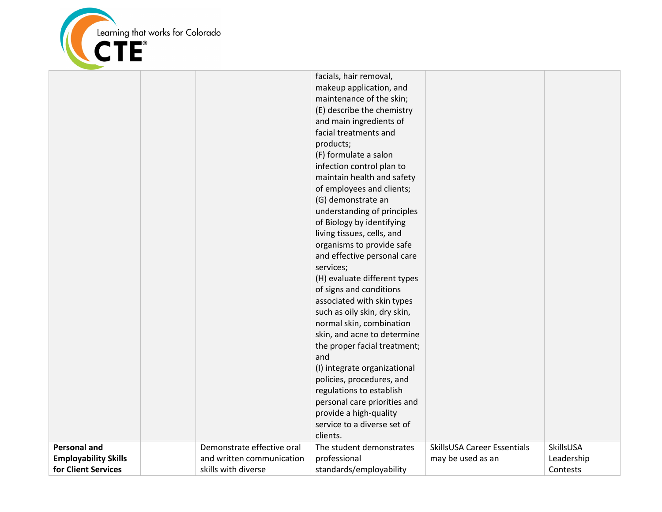

|                                                                           |                                                                                | facials, hair removal,<br>makeup application, and<br>maintenance of the skin;<br>(E) describe the chemistry<br>and main ingredients of<br>facial treatments and<br>products;<br>(F) formulate a salon<br>infection control plan to<br>maintain health and safety<br>of employees and clients;<br>(G) demonstrate an<br>understanding of principles<br>of Biology by identifying<br>living tissues, cells, and<br>organisms to provide safe<br>and effective personal care<br>services;<br>(H) evaluate different types<br>of signs and conditions<br>associated with skin types<br>such as oily skin, dry skin,<br>normal skin, combination<br>skin, and acne to determine<br>the proper facial treatment;<br>and<br>(I) integrate organizational<br>policies, procedures, and<br>regulations to establish<br>personal care priorities and<br>provide a high-quality<br>service to a diverse set of<br>clients. |                                                  |                                     |
|---------------------------------------------------------------------------|--------------------------------------------------------------------------------|-----------------------------------------------------------------------------------------------------------------------------------------------------------------------------------------------------------------------------------------------------------------------------------------------------------------------------------------------------------------------------------------------------------------------------------------------------------------------------------------------------------------------------------------------------------------------------------------------------------------------------------------------------------------------------------------------------------------------------------------------------------------------------------------------------------------------------------------------------------------------------------------------------------------|--------------------------------------------------|-------------------------------------|
| <b>Personal and</b><br><b>Employability Skills</b><br>for Client Services | Demonstrate effective oral<br>and written communication<br>skills with diverse | The student demonstrates<br>professional<br>standards/employability                                                                                                                                                                                                                                                                                                                                                                                                                                                                                                                                                                                                                                                                                                                                                                                                                                             | SkillsUSA Career Essentials<br>may be used as an | SkillsUSA<br>Leadership<br>Contests |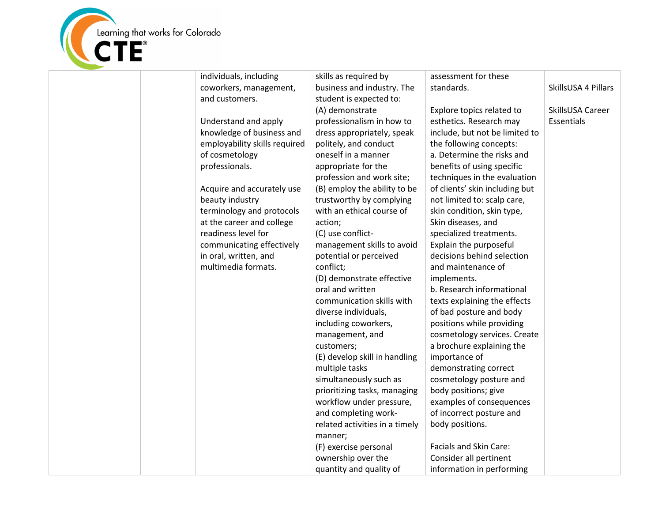

| individuals, including        | skills as required by          | assessment for these           |                     |
|-------------------------------|--------------------------------|--------------------------------|---------------------|
| coworkers, management,        | business and industry. The     | standards.                     | SkillsUSA 4 Pillars |
| and customers.                | student is expected to:        |                                |                     |
|                               | (A) demonstrate                | Explore topics related to      | SkillsUSA Career    |
| Understand and apply          | professionalism in how to      | esthetics. Research may        | Essentials          |
| knowledge of business and     | dress appropriately, speak     | include, but not be limited to |                     |
| employability skills required | politely, and conduct          | the following concepts:        |                     |
| of cosmetology                | oneself in a manner            | a. Determine the risks and     |                     |
| professionals.                | appropriate for the            | benefits of using specific     |                     |
|                               | profession and work site;      | techniques in the evaluation   |                     |
| Acquire and accurately use    | (B) employ the ability to be   | of clients' skin including but |                     |
| beauty industry               | trustworthy by complying       | not limited to: scalp care,    |                     |
| terminology and protocols     | with an ethical course of      | skin condition, skin type,     |                     |
| at the career and college     | action;                        | Skin diseases, and             |                     |
| readiness level for           | (C) use conflict-              | specialized treatments.        |                     |
| communicating effectively     | management skills to avoid     | Explain the purposeful         |                     |
| in oral, written, and         | potential or perceived         | decisions behind selection     |                     |
| multimedia formats.           | conflict;                      | and maintenance of             |                     |
|                               | (D) demonstrate effective      | implements.                    |                     |
|                               | oral and written               | b. Research informational      |                     |
|                               | communication skills with      | texts explaining the effects   |                     |
|                               | diverse individuals,           | of bad posture and body        |                     |
|                               | including coworkers,           | positions while providing      |                     |
|                               | management, and                | cosmetology services. Create   |                     |
|                               | customers;                     | a brochure explaining the      |                     |
|                               | (E) develop skill in handling  | importance of                  |                     |
|                               | multiple tasks                 | demonstrating correct          |                     |
|                               | simultaneously such as         | cosmetology posture and        |                     |
|                               | prioritizing tasks, managing   | body positions; give           |                     |
|                               | workflow under pressure,       | examples of consequences       |                     |
|                               | and completing work-           | of incorrect posture and       |                     |
|                               | related activities in a timely | body positions.                |                     |
|                               | manner;                        |                                |                     |
|                               | (F) exercise personal          | Facials and Skin Care:         |                     |
|                               | ownership over the             | Consider all pertinent         |                     |
|                               | quantity and quality of        | information in performing      |                     |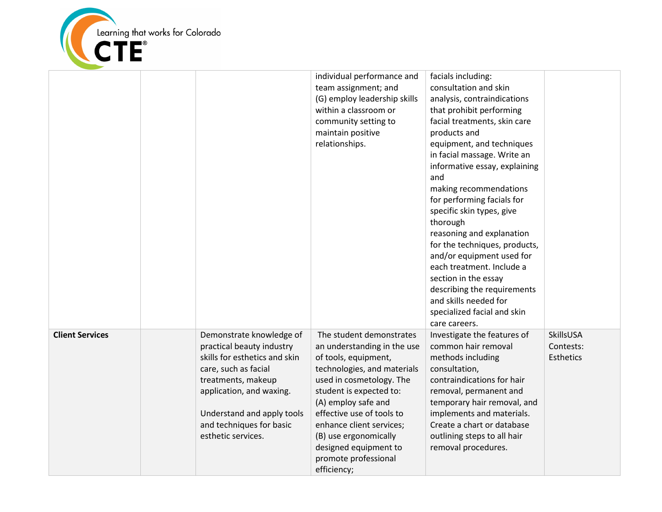

|                        |                                                                                                                                                                                                                                                  | individual performance and<br>team assignment; and<br>(G) employ leadership skills<br>within a classroom or<br>community setting to<br>maintain positive<br>relationships.                                                                                                                                                                     | facials including:<br>consultation and skin<br>analysis, contraindications<br>that prohibit performing<br>facial treatments, skin care<br>products and<br>equipment, and techniques<br>in facial massage. Write an<br>informative essay, explaining<br>and<br>making recommendations<br>for performing facials for<br>specific skin types, give<br>thorough<br>reasoning and explanation<br>for the techniques, products,<br>and/or equipment used for<br>each treatment. Include a<br>section in the essay<br>describing the requirements<br>and skills needed for<br>specialized facial and skin<br>care careers. |                                            |
|------------------------|--------------------------------------------------------------------------------------------------------------------------------------------------------------------------------------------------------------------------------------------------|------------------------------------------------------------------------------------------------------------------------------------------------------------------------------------------------------------------------------------------------------------------------------------------------------------------------------------------------|---------------------------------------------------------------------------------------------------------------------------------------------------------------------------------------------------------------------------------------------------------------------------------------------------------------------------------------------------------------------------------------------------------------------------------------------------------------------------------------------------------------------------------------------------------------------------------------------------------------------|--------------------------------------------|
| <b>Client Services</b> | Demonstrate knowledge of<br>practical beauty industry<br>skills for esthetics and skin<br>care, such as facial<br>treatments, makeup<br>application, and waxing.<br>Understand and apply tools<br>and techniques for basic<br>esthetic services. | The student demonstrates<br>an understanding in the use<br>of tools, equipment,<br>technologies, and materials<br>used in cosmetology. The<br>student is expected to:<br>(A) employ safe and<br>effective use of tools to<br>enhance client services;<br>(B) use ergonomically<br>designed equipment to<br>promote professional<br>efficiency; | Investigate the features of<br>common hair removal<br>methods including<br>consultation,<br>contraindications for hair<br>removal, permanent and<br>temporary hair removal, and<br>implements and materials.<br>Create a chart or database<br>outlining steps to all hair<br>removal procedures.                                                                                                                                                                                                                                                                                                                    | SkillsUSA<br>Contests:<br><b>Esthetics</b> |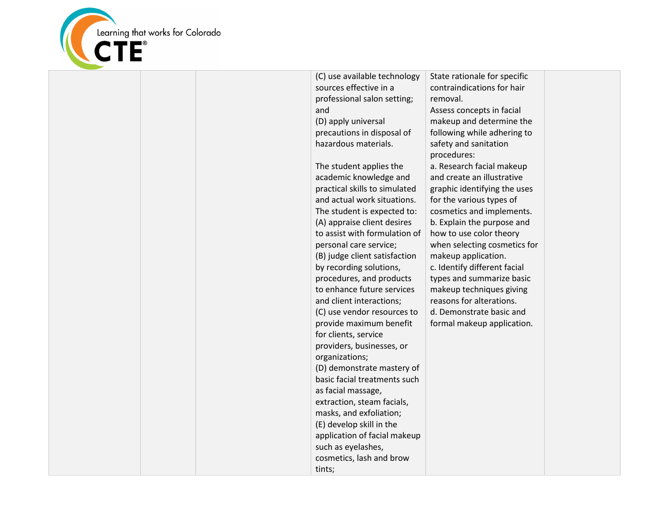

| (C) use available technology<br>sources effective in a | State rationa<br>contraindica |
|--------------------------------------------------------|-------------------------------|
| professional salon setting;                            | removal.                      |
| and                                                    | Assess conce                  |
| (D) apply universal                                    | makeup and                    |
| precautions in disposal of                             | following wh                  |
| hazardous materials.                                   | safety and sa                 |
|                                                        | procedures:                   |
| The student applies the                                | a. Research f                 |
| academic knowledge and                                 | and create a                  |
| practical skills to simulated                          | graphic ident                 |
| and actual work situations.                            | for the varior                |
| The student is expected to:                            | cosmetics an                  |
| (A) appraise client desires                            | b. Explain the                |
| to assist with formulation of                          | how to use c                  |
| personal care service;                                 | when selecti                  |
| (B) judge client satisfaction                          | makeup appl                   |
| by recording solutions,                                | c. Identify dit               |
| procedures, and products                               | types and su                  |
| to enhance future services                             | makeup tech                   |
| and client interactions;                               | reasons for a                 |
| (C) use vendor resources to                            | d. Demonstra                  |
| provide maximum benefit                                | formal make                   |
| for clients, service                                   |                               |
| providers, businesses, or                              |                               |
| organizations;                                         |                               |
| (D) demonstrate mastery of                             |                               |
| basic facial treatments such                           |                               |
| as facial massage,                                     |                               |
| extraction, steam facials,                             |                               |
| masks, and exfoliation;                                |                               |
| (E) develop skill in the                               |                               |
| application of facial makeup                           |                               |
| such as eyelashes,                                     |                               |
| cosmetics, lash and brow                               |                               |
| tints;                                                 |                               |

ale for specific tions for hair

epts in facial determine the hile adhering to anitation

facial makeup an illustrative itifying the uses us types of d implements. e purpose and color theory ing cosmetics for lication. ifferent facial immarize basic niques giving alterations. rate basic and eup application.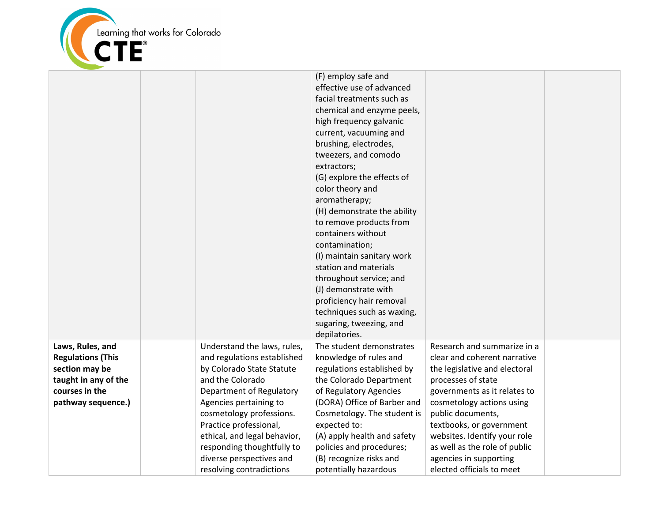

|                          |                              | (F) employ safe and         |                               |  |
|--------------------------|------------------------------|-----------------------------|-------------------------------|--|
|                          |                              | effective use of advanced   |                               |  |
|                          |                              | facial treatments such as   |                               |  |
|                          |                              | chemical and enzyme peels,  |                               |  |
|                          |                              | high frequency galvanic     |                               |  |
|                          |                              | current, vacuuming and      |                               |  |
|                          |                              | brushing, electrodes,       |                               |  |
|                          |                              | tweezers, and comodo        |                               |  |
|                          |                              | extractors;                 |                               |  |
|                          |                              | (G) explore the effects of  |                               |  |
|                          |                              | color theory and            |                               |  |
|                          |                              | aromatherapy;               |                               |  |
|                          |                              | (H) demonstrate the ability |                               |  |
|                          |                              | to remove products from     |                               |  |
|                          |                              | containers without          |                               |  |
|                          |                              | contamination;              |                               |  |
|                          |                              | (I) maintain sanitary work  |                               |  |
|                          |                              | station and materials       |                               |  |
|                          |                              | throughout service; and     |                               |  |
|                          |                              | (J) demonstrate with        |                               |  |
|                          |                              | proficiency hair removal    |                               |  |
|                          |                              | techniques such as waxing,  |                               |  |
|                          |                              | sugaring, tweezing, and     |                               |  |
|                          |                              | depilatories.               |                               |  |
| Laws, Rules, and         | Understand the laws, rules,  | The student demonstrates    | Research and summarize in a   |  |
| <b>Regulations (This</b> | and regulations established  | knowledge of rules and      | clear and coherent narrative  |  |
| section may be           | by Colorado State Statute    | regulations established by  | the legislative and electoral |  |
| taught in any of the     | and the Colorado             | the Colorado Department     | processes of state            |  |
| courses in the           | Department of Regulatory     | of Regulatory Agencies      | governments as it relates to  |  |
| pathway sequence.)       | Agencies pertaining to       | (DORA) Office of Barber and | cosmetology actions using     |  |
|                          | cosmetology professions.     | Cosmetology. The student is | public documents,             |  |
|                          | Practice professional,       | expected to:                | textbooks, or government      |  |
|                          | ethical, and legal behavior, | (A) apply health and safety | websites. Identify your role  |  |
|                          | responding thoughtfully to   | policies and procedures;    | as well as the role of public |  |
|                          | diverse perspectives and     | (B) recognize risks and     | agencies in supporting        |  |
|                          | resolving contradictions     | potentially hazardous       | elected officials to meet     |  |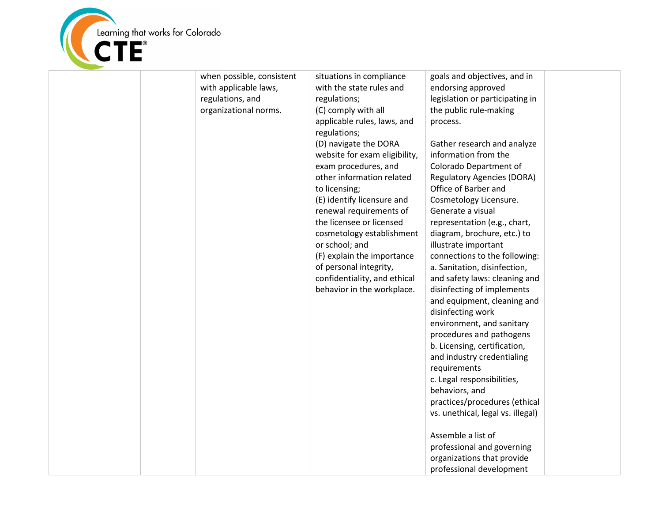

| when possible, consistent<br>with applicable laws,<br>regulations, and<br>organizational norms. | situations in compliance<br>with the state rules and<br>regulations;<br>(C) comply with all<br>applicable rules, laws, and<br>regulations;<br>(D) navigate the DORA<br>website for exam eligibility,<br>exam procedures, and<br>other information related<br>to licensing;<br>(E) identify licensure and<br>renewal requirements of<br>the licensee or licensed<br>cosmetology establishment<br>or school; and<br>(F) explain the importance<br>of personal integrity,<br>confidentiality, and ethical<br>behavior in the workplace. | goals and objectives, and in<br>endorsing approved<br>legislation or participating in<br>the public rule-making<br>process.<br>Gather research and analyze<br>information from the<br>Colorado Department of<br><b>Regulatory Agencies (DORA)</b><br>Office of Barber and<br>Cosmetology Licensure.<br>Generate a visual<br>representation (e.g., chart,<br>diagram, brochure, etc.) to<br>illustrate important<br>connections to the following:<br>a. Sanitation, disinfection,<br>and safety laws: cleaning and<br>disinfecting of implements<br>and equipment, cleaning and<br>disinfecting work<br>environment, and sanitary<br>procedures and pathogens<br>b. Licensing, certification,<br>and industry credentialing<br>requirements<br>c. Legal responsibilities,<br>behaviors, and<br>practices/procedures (ethical<br>vs. unethical, legal vs. illegal)<br>Assemble a list of<br>professional and governing |  |
|-------------------------------------------------------------------------------------------------|--------------------------------------------------------------------------------------------------------------------------------------------------------------------------------------------------------------------------------------------------------------------------------------------------------------------------------------------------------------------------------------------------------------------------------------------------------------------------------------------------------------------------------------|----------------------------------------------------------------------------------------------------------------------------------------------------------------------------------------------------------------------------------------------------------------------------------------------------------------------------------------------------------------------------------------------------------------------------------------------------------------------------------------------------------------------------------------------------------------------------------------------------------------------------------------------------------------------------------------------------------------------------------------------------------------------------------------------------------------------------------------------------------------------------------------------------------------------|--|
|                                                                                                 |                                                                                                                                                                                                                                                                                                                                                                                                                                                                                                                                      | organizations that provide                                                                                                                                                                                                                                                                                                                                                                                                                                                                                                                                                                                                                                                                                                                                                                                                                                                                                           |  |
|                                                                                                 |                                                                                                                                                                                                                                                                                                                                                                                                                                                                                                                                      | professional development                                                                                                                                                                                                                                                                                                                                                                                                                                                                                                                                                                                                                                                                                                                                                                                                                                                                                             |  |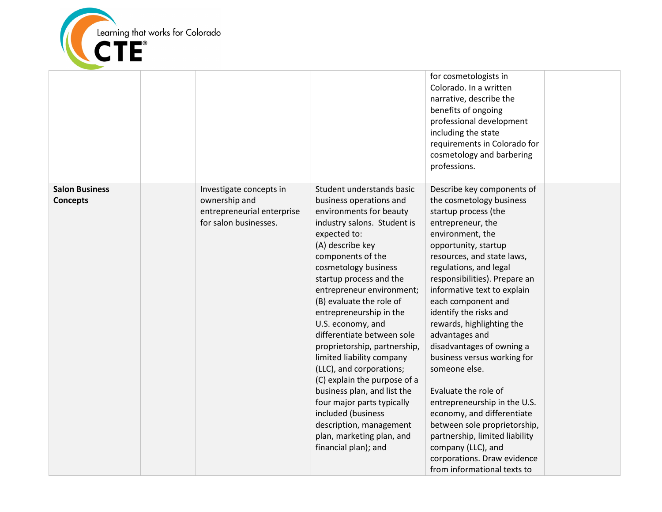

|                                          |                                                                                                 |                                                                                                                                                                                                                                                                                                                                                                                                                                                                                                                                                                                                                                                               | for cosmetologists in<br>Colorado. In a written<br>narrative, describe the<br>benefits of ongoing<br>professional development<br>including the state<br>requirements in Colorado for<br>cosmetology and barbering<br>professions.                                                                                                                                                                                                                                                                                                                                                                                                                                                               |  |
|------------------------------------------|-------------------------------------------------------------------------------------------------|---------------------------------------------------------------------------------------------------------------------------------------------------------------------------------------------------------------------------------------------------------------------------------------------------------------------------------------------------------------------------------------------------------------------------------------------------------------------------------------------------------------------------------------------------------------------------------------------------------------------------------------------------------------|-------------------------------------------------------------------------------------------------------------------------------------------------------------------------------------------------------------------------------------------------------------------------------------------------------------------------------------------------------------------------------------------------------------------------------------------------------------------------------------------------------------------------------------------------------------------------------------------------------------------------------------------------------------------------------------------------|--|
| <b>Salon Business</b><br><b>Concepts</b> | Investigate concepts in<br>ownership and<br>entrepreneurial enterprise<br>for salon businesses. | Student understands basic<br>business operations and<br>environments for beauty<br>industry salons. Student is<br>expected to:<br>(A) describe key<br>components of the<br>cosmetology business<br>startup process and the<br>entrepreneur environment;<br>(B) evaluate the role of<br>entrepreneurship in the<br>U.S. economy, and<br>differentiate between sole<br>proprietorship, partnership,<br>limited liability company<br>(LLC), and corporations;<br>(C) explain the purpose of a<br>business plan, and list the<br>four major parts typically<br>included (business<br>description, management<br>plan, marketing plan, and<br>financial plan); and | Describe key components of<br>the cosmetology business<br>startup process (the<br>entrepreneur, the<br>environment, the<br>opportunity, startup<br>resources, and state laws,<br>regulations, and legal<br>responsibilities). Prepare an<br>informative text to explain<br>each component and<br>identify the risks and<br>rewards, highlighting the<br>advantages and<br>disadvantages of owning a<br>business versus working for<br>someone else.<br>Evaluate the role of<br>entrepreneurship in the U.S.<br>economy, and differentiate<br>between sole proprietorship,<br>partnership, limited liability<br>company (LLC), and<br>corporations. Draw evidence<br>from informational texts to |  |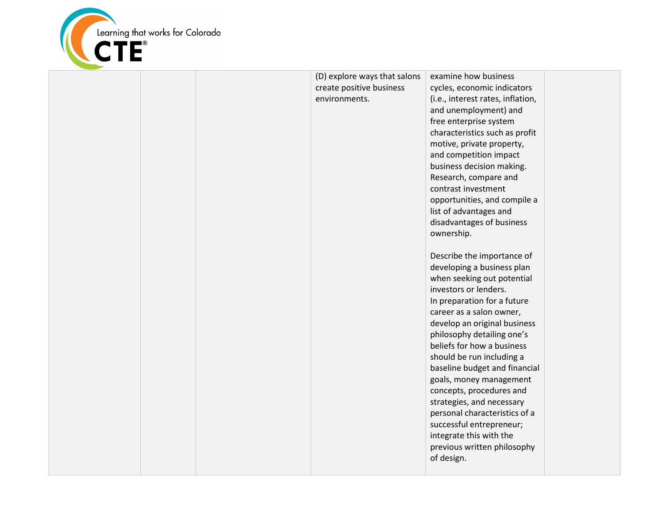

|  | (D) explore ways that salons | examine how business              |  |
|--|------------------------------|-----------------------------------|--|
|  | create positive business     | cycles, economic indicators       |  |
|  | environments.                | (i.e., interest rates, inflation, |  |
|  |                              | and unemployment) and             |  |
|  |                              | free enterprise system            |  |
|  |                              | characteristics such as profit    |  |
|  |                              | motive, private property,         |  |
|  |                              | and competition impact            |  |
|  |                              | business decision making.         |  |
|  |                              | Research, compare and             |  |
|  |                              | contrast investment               |  |
|  |                              | opportunities, and compile a      |  |
|  |                              | list of advantages and            |  |
|  |                              | disadvantages of business         |  |
|  |                              | ownership.                        |  |
|  |                              |                                   |  |
|  |                              | Describe the importance of        |  |
|  |                              | developing a business plan        |  |
|  |                              | when seeking out potential        |  |
|  |                              | investors or lenders.             |  |
|  |                              | In preparation for a future       |  |
|  |                              | career as a salon owner,          |  |
|  |                              | develop an original business      |  |
|  |                              | philosophy detailing one's        |  |
|  |                              | beliefs for how a business        |  |
|  |                              | should be run including a         |  |
|  |                              | baseline budget and financial     |  |
|  |                              | goals, money management           |  |
|  |                              | concepts, procedures and          |  |
|  |                              | strategies, and necessary         |  |
|  |                              | personal characteristics of a     |  |
|  |                              | successful entrepreneur;          |  |
|  |                              | integrate this with the           |  |
|  |                              | previous written philosophy       |  |
|  |                              | of design.                        |  |
|  |                              |                                   |  |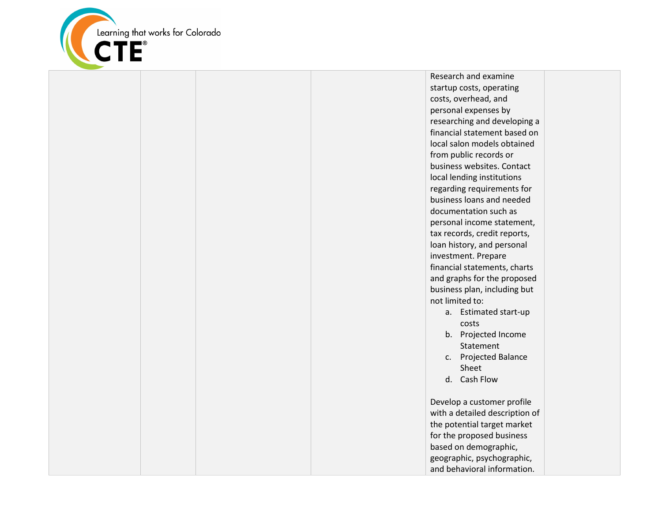

Research and examine startup costs, operating costs, overhead, and personal expenses by researching and developing a financial statement based on local salon models obtained from public records or business websites. Contact local lending institutions regarding requirements for business loans and needed documentation such as personal income statement, tax records, credit reports, loan history, and personal investment. Prepare financial statements, charts and graphs for the proposed business plan, including but not limited to: a. Estimated start-up

- costs b. Projected Income Statement
- c. Projected Balance Sheet
- d. Cash Flow

Develop a customer profile with a detailed description of the potential target market for the proposed business based on demographic, geographic, psychographic, and behavioral information.